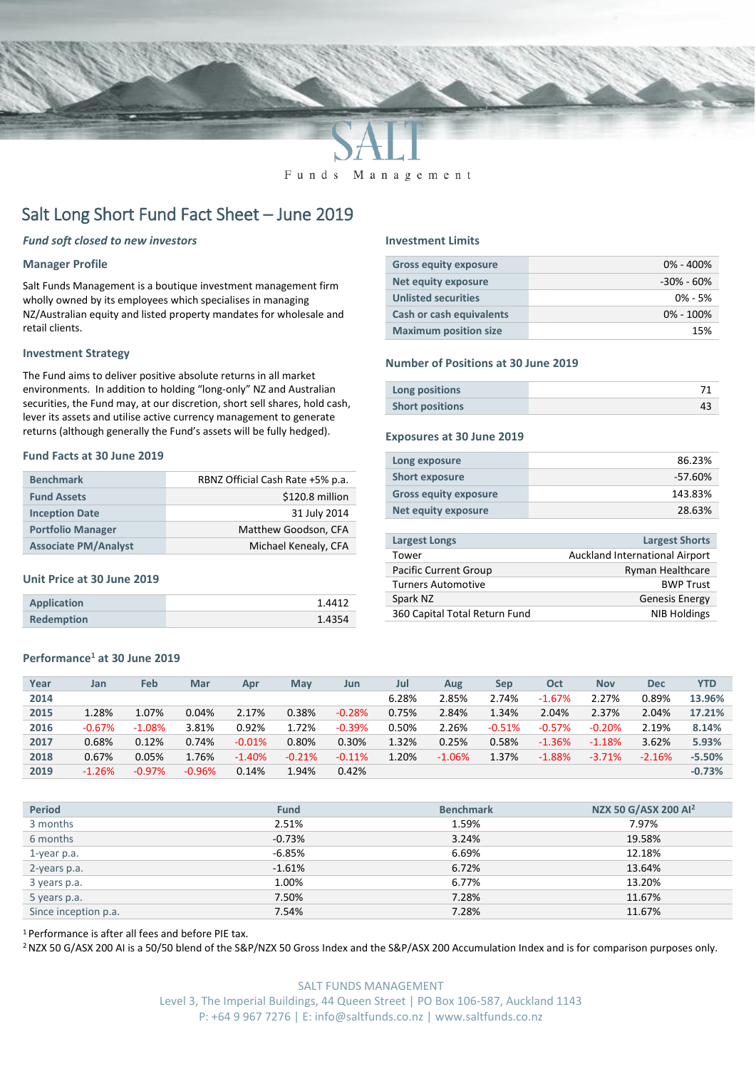

Funds Management

# Salt Long Short Fund Fact Sheet – June 2019

## *Fund soft closed to new investors*

## **Manager Profile**

Salt Funds Management is a boutique investment management firm wholly owned by its employees which specialises in managing NZ/Australian equity and listed property mandates for wholesale and retail clients.

## **Investment Strategy**

The Fund aims to deliver positive absolute returns in all market environments. In addition to holding "long-only" NZ and Australian securities, the Fund may, at our discretion, short sell shares, hold cash, lever its assets and utilise active currency management to generate returns (although generally the Fund's assets will be fully hedged).

### **Fund Facts at 30 June 2019**

| <b>Benchmark</b>            | RBNZ Official Cash Rate +5% p.a. |
|-----------------------------|----------------------------------|
| <b>Fund Assets</b>          | \$120.8 million                  |
| <b>Inception Date</b>       | 31 July 2014                     |
| <b>Portfolio Manager</b>    | Matthew Goodson, CFA             |
| <b>Associate PM/Analyst</b> | Michael Kenealy, CFA             |

## **Unit Price at 30 June 2019**

| <b>Application</b> | 1.4412 |
|--------------------|--------|
| <b>Redemption</b>  | 1.4354 |

# **Performance<sup>1</sup> at 30 June 2019**

| Year | Jan      | Feb      | Mar      | Apr      | May      | Jun      | Jul   | Aug      | Sep      | Oct       | <b>Nov</b> | Dec      | <b>YTD</b> |
|------|----------|----------|----------|----------|----------|----------|-------|----------|----------|-----------|------------|----------|------------|
| 2014 |          |          |          |          |          |          | 6.28% | 2.85%    | 2.74%    | $-1.67%$  | 2.27%      | 0.89%    | 13.96%     |
| 2015 | 1.28%    | 1.07%    | 0.04%    | 2.17%    | 0.38%    | $-0.28%$ | 0.75% | 2.84%    | 1.34%    | 2.04%     | 2.37%      | 2.04%    | 17.21%     |
| 2016 | $-0.67%$ | $-1.08%$ | 3.81%    | 0.92%    | 1.72%    | $-0.39%$ | 0.50% | 2.26%    | $-0.51%$ | $-0.57\%$ | $-0.20%$   | 2.19%    | 8.14%      |
| 2017 | 0.68%    | 0.12%    | 0.74%    | $-0.01%$ | 0.80%    | 0.30%    | 1.32% | 0.25%    | 0.58%    | $-1.36%$  | $-1.18%$   | 3.62%    | 5.93%      |
| 2018 | 0.67%    | 0.05%    | 1.76%    | $-1.40%$ | $-0.21%$ | $-0.11%$ | 1.20% | $-1.06%$ | 1.37%    | $-1.88%$  | $-3.71%$   | $-2.16%$ | $-5.50%$   |
| 2019 | $-1.26%$ | $-0.97%$ | $-0.96%$ | 0.14%    | 1.94%    | 0.42%    |       |          |          |           |            |          | $-0.73%$   |

| <b>Period</b>        | <b>Fund</b> | <b>Benchmark</b> | NZX 50 G/ASX 200 Al <sup>2</sup> |
|----------------------|-------------|------------------|----------------------------------|
| 3 months             | 2.51%       | 1.59%            | 7.97%                            |
| 6 months             | $-0.73%$    | 3.24%            | 19.58%                           |
| 1-year p.a.          | $-6.85%$    | 6.69%            | 12.18%                           |
| 2-years p.a.         | $-1.61%$    | 6.72%            | 13.64%                           |
| 3 years p.a.         | 1.00%       | 6.77%            | 13.20%                           |
| 5 years p.a.         | 7.50%       | 7.28%            | 11.67%                           |
| Since inception p.a. | 7.54%       | 7.28%            | 11.67%                           |

<sup>1</sup> Performance is after all fees and before PIE tax.

<sup>2</sup> NZX 50 G/ASX 200 AI is a 50/50 blend of the S&P/NZX 50 Gross Index and the S&P/ASX 200 Accumulation Index and is for comparison purposes only.

# **Investment Limits**

| <b>Gross equity exposure</b> | $0\% - 400\%$ |
|------------------------------|---------------|
| Net equity exposure          | -30% - 60%    |
| <b>Unlisted securities</b>   | $0\% - 5\%$   |
| Cash or cash equivalents     | $0\% - 100\%$ |
| <b>Maximum position size</b> | 15%           |

#### **Number of Positions at 30 June 2019**

| Long positions         |  |
|------------------------|--|
| <b>Short positions</b> |  |

## **Exposures at 30 June 2019**

| Long exposure                | 86.23%  |
|------------------------------|---------|
| <b>Short exposure</b>        | -57.60% |
| <b>Gross equity exposure</b> | 143.83% |
| Net equity exposure          | 28.63%  |

| <b>Largest Longs</b>          | <b>Largest Shorts</b>          |
|-------------------------------|--------------------------------|
| Tower                         | Auckland International Airport |
| Pacific Current Group         | Ryman Healthcare               |
| <b>Turners Automotive</b>     | <b>BWP Trust</b>               |
| Spark NZ                      | <b>Genesis Energy</b>          |
| 360 Capital Total Return Fund | <b>NIB Holdings</b>            |
|                               |                                |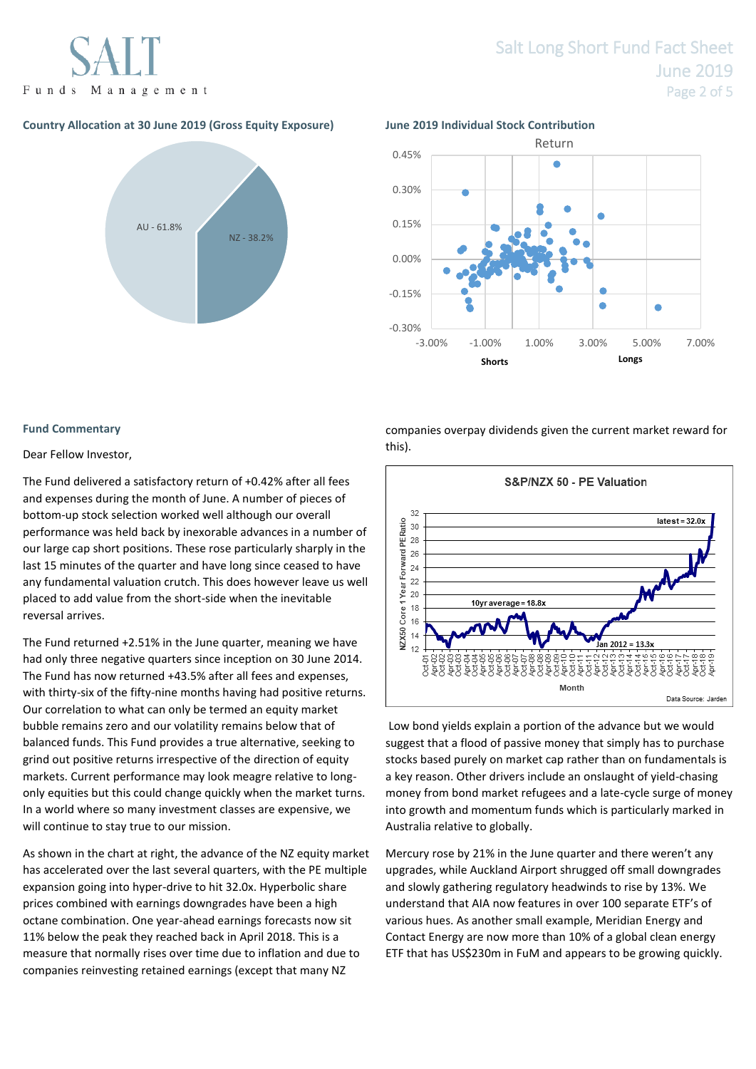

# **Country Allocation at 30 June 2019 (Gross Equity Exposure) June 2019 Individual Stock Contribution**



# Salt Long Short Fund Fact Sheet June 2019 Page 2 of 5





### **Fund Commentary**

### Dear Fellow Investor,

The Fund delivered a satisfactory return of +0.42% after all fees and expenses during the month of June. A number of pieces of bottom-up stock selection worked well although our overall performance was held back by inexorable advances in a number of our large cap short positions. These rose particularly sharply in the last 15 minutes of the quarter and have long since ceased to have any fundamental valuation crutch. This does however leave us well placed to add value from the short-side when the inevitable reversal arrives.

The Fund returned +2.51% in the June quarter, meaning we have had only three negative quarters since inception on 30 June 2014. The Fund has now returned +43.5% after all fees and expenses, with thirty-six of the fifty-nine months having had positive returns. Our correlation to what can only be termed an equity market bubble remains zero and our volatility remains below that of balanced funds. This Fund provides a true alternative, seeking to grind out positive returns irrespective of the direction of equity markets. Current performance may look meagre relative to longonly equities but this could change quickly when the market turns. In a world where so many investment classes are expensive, we will continue to stay true to our mission.

As shown in the chart at right, the advance of the NZ equity market has accelerated over the last several quarters, with the PE multiple expansion going into hyper-drive to hit 32.0x. Hyperbolic share prices combined with earnings downgrades have been a high octane combination. One year-ahead earnings forecasts now sit 11% below the peak they reached back in April 2018. This is a measure that normally rises over time due to inflation and due to companies reinvesting retained earnings (except that many NZ

companies overpay dividends given the current market reward for this).



Low bond yields explain a portion of the advance but we would suggest that a flood of passive money that simply has to purchase stocks based purely on market cap rather than on fundamentals is a key reason. Other drivers include an onslaught of yield-chasing money from bond market refugees and a late-cycle surge of money into growth and momentum funds which is particularly marked in Australia relative to globally.

Mercury rose by 21% in the June quarter and there weren't any upgrades, while Auckland Airport shrugged off small downgrades and slowly gathering regulatory headwinds to rise by 13%. We understand that AIA now features in over 100 separate ETF's of various hues. As another small example, Meridian Energy and Contact Energy are now more than 10% of a global clean energy ETF that has US\$230m in FuM and appears to be growing quickly.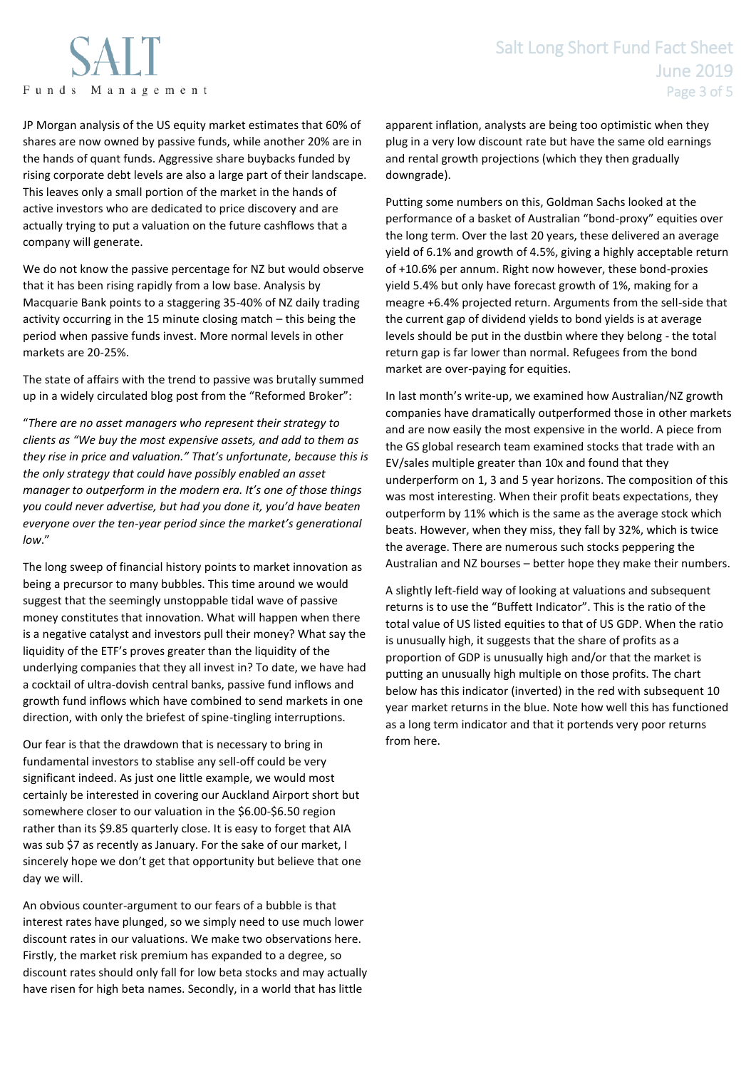

JP Morgan analysis of the US equity market estimates that 60% of shares are now owned by passive funds, while another 20% are in the hands of quant funds. Aggressive share buybacks funded by rising corporate debt levels are also a large part of their landscape. This leaves only a small portion of the market in the hands of active investors who are dedicated to price discovery and are actually trying to put a valuation on the future cashflows that a company will generate.

We do not know the passive percentage for NZ but would observe that it has been rising rapidly from a low base. Analysis by Macquarie Bank points to a staggering 35-40% of NZ daily trading activity occurring in the 15 minute closing match – this being the period when passive funds invest. More normal levels in other markets are 20-25%.

The state of affairs with the trend to passive was brutally summed up in a widely circulated blog post from the "Reformed Broker":

"*There are no asset managers who represent their strategy to clients as "We buy the most expensive assets, and add to them as they rise in price and valuation." That's unfortunate, because this is the only strategy that could have possibly enabled an asset manager to outperform in the modern era. It's one of those things you could never advertise, but had you done it, you'd have beaten everyone over the ten-year period since the market's generational low*."

The long sweep of financial history points to market innovation as being a precursor to many bubbles. This time around we would suggest that the seemingly unstoppable tidal wave of passive money constitutes that innovation. What will happen when there is a negative catalyst and investors pull their money? What say the liquidity of the ETF's proves greater than the liquidity of the underlying companies that they all invest in? To date, we have had a cocktail of ultra-dovish central banks, passive fund inflows and growth fund inflows which have combined to send markets in one direction, with only the briefest of spine-tingling interruptions.

Our fear is that the drawdown that is necessary to bring in fundamental investors to stablise any sell-off could be very significant indeed. As just one little example, we would most certainly be interested in covering our Auckland Airport short but somewhere closer to our valuation in the \$6.00-\$6.50 region rather than its \$9.85 quarterly close. It is easy to forget that AIA was sub \$7 as recently as January. For the sake of our market, I sincerely hope we don't get that opportunity but believe that one day we will.

An obvious counter-argument to our fears of a bubble is that interest rates have plunged, so we simply need to use much lower discount rates in our valuations. We make two observations here. Firstly, the market risk premium has expanded to a degree, so discount rates should only fall for low beta stocks and may actually have risen for high beta names. Secondly, in a world that has little

apparent inflation, analysts are being too optimistic when they plug in a very low discount rate but have the same old earnings and rental growth projections (which they then gradually downgrade).

Putting some numbers on this, Goldman Sachs looked at the performance of a basket of Australian "bond-proxy" equities over the long term. Over the last 20 years, these delivered an average yield of 6.1% and growth of 4.5%, giving a highly acceptable return of +10.6% per annum. Right now however, these bond-proxies yield 5.4% but only have forecast growth of 1%, making for a meagre +6.4% projected return. Arguments from the sell-side that the current gap of dividend yields to bond yields is at average levels should be put in the dustbin where they belong - the total return gap is far lower than normal. Refugees from the bond market are over-paying for equities.

In last month's write-up, we examined how Australian/NZ growth companies have dramatically outperformed those in other markets and are now easily the most expensive in the world. A piece from the GS global research team examined stocks that trade with an EV/sales multiple greater than 10x and found that they underperform on 1, 3 and 5 year horizons. The composition of this was most interesting. When their profit beats expectations, they outperform by 11% which is the same as the average stock which beats. However, when they miss, they fall by 32%, which is twice the average. There are numerous such stocks peppering the Australian and NZ bourses – better hope they make their numbers.

A slightly left-field way of looking at valuations and subsequent returns is to use the "Buffett Indicator". This is the ratio of the total value of US listed equities to that of US GDP. When the ratio is unusually high, it suggests that the share of profits as a proportion of GDP is unusually high and/or that the market is putting an unusually high multiple on those profits. The chart below has this indicator (inverted) in the red with subsequent 10 year market returns in the blue. Note how well this has functioned as a long term indicator and that it portends very poor returns from here.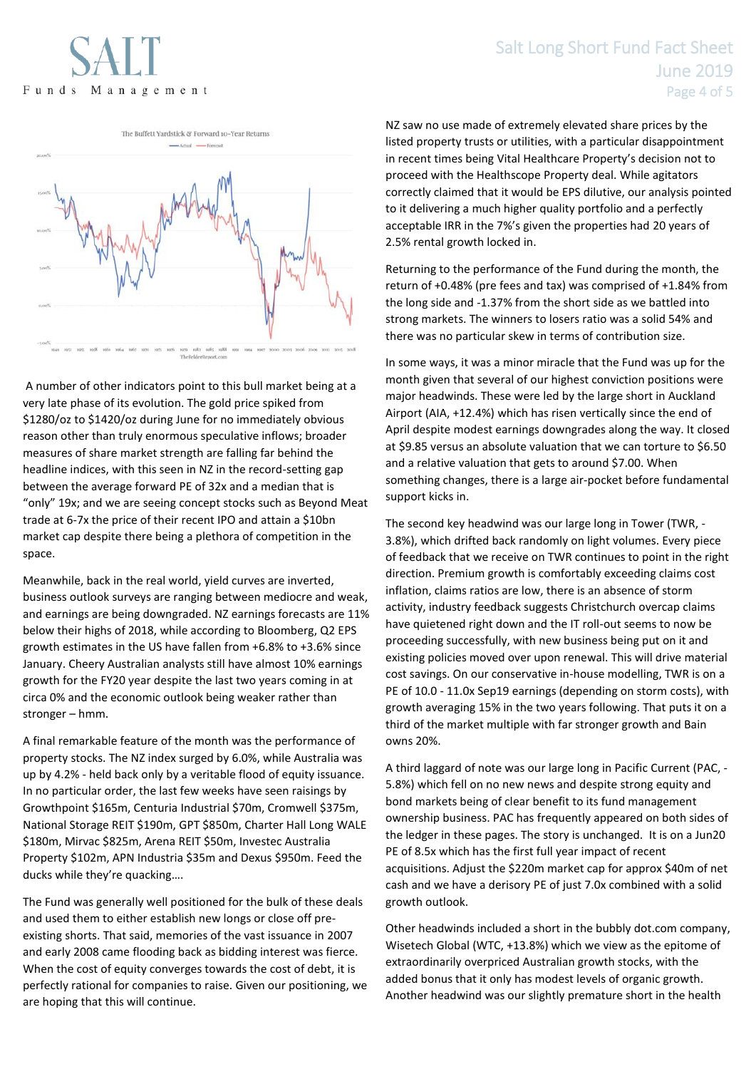# Salt Long Short Fund Fact Sheet June 2019 Page 4 of 5



A number of other indicators point to this bull market being at a very late phase of its evolution. The gold price spiked from \$1280/oz to \$1420/oz during June for no immediately obvious reason other than truly enormous speculative inflows; broader measures of share market strength are falling far behind the headline indices, with this seen in NZ in the record-setting gap between the average forward PE of 32x and a median that is "only" 19x; and we are seeing concept stocks such as Beyond Meat trade at 6-7x the price of their recent IPO and attain a \$10bn market cap despite there being a plethora of competition in the space.

Meanwhile, back in the real world, yield curves are inverted, business outlook surveys are ranging between mediocre and weak, and earnings are being downgraded. NZ earnings forecasts are 11% below their highs of 2018, while according to Bloomberg, Q2 EPS growth estimates in the US have fallen from +6.8% to +3.6% since January. Cheery Australian analysts still have almost 10% earnings growth for the FY20 year despite the last two years coming in at circa 0% and the economic outlook being weaker rather than stronger – hmm.

A final remarkable feature of the month was the performance of property stocks. The NZ index surged by 6.0%, while Australia was up by 4.2% - held back only by a veritable flood of equity issuance. In no particular order, the last few weeks have seen raisings by Growthpoint \$165m, Centuria Industrial \$70m, Cromwell \$375m, National Storage REIT \$190m, GPT \$850m, Charter Hall Long WALE \$180m, Mirvac \$825m, Arena REIT \$50m, Investec Australia Property \$102m, APN Industria \$35m and Dexus \$950m. Feed the ducks while they're quacking….

The Fund was generally well positioned for the bulk of these deals and used them to either establish new longs or close off preexisting shorts. That said, memories of the vast issuance in 2007 and early 2008 came flooding back as bidding interest was fierce. When the cost of equity converges towards the cost of debt, it is perfectly rational for companies to raise. Given our positioning, we are hoping that this will continue.

NZ saw no use made of extremely elevated share prices by the listed property trusts or utilities, with a particular disappointment in recent times being Vital Healthcare Property's decision not to proceed with the Healthscope Property deal. While agitators correctly claimed that it would be EPS dilutive, our analysis pointed to it delivering a much higher quality portfolio and a perfectly acceptable IRR in the 7%'s given the properties had 20 years of 2.5% rental growth locked in.

Returning to the performance of the Fund during the month, the return of +0.48% (pre fees and tax) was comprised of +1.84% from the long side and -1.37% from the short side as we battled into strong markets. The winners to losers ratio was a solid 54% and there was no particular skew in terms of contribution size.

In some ways, it was a minor miracle that the Fund was up for the month given that several of our highest conviction positions were major headwinds. These were led by the large short in Auckland Airport (AIA, +12.4%) which has risen vertically since the end of April despite modest earnings downgrades along the way. It closed at \$9.85 versus an absolute valuation that we can torture to \$6.50 and a relative valuation that gets to around \$7.00. When something changes, there is a large air-pocket before fundamental support kicks in.

The second key headwind was our large long in Tower (TWR, - 3.8%), which drifted back randomly on light volumes. Every piece of feedback that we receive on TWR continues to point in the right direction. Premium growth is comfortably exceeding claims cost inflation, claims ratios are low, there is an absence of storm activity, industry feedback suggests Christchurch overcap claims have quietened right down and the IT roll-out seems to now be proceeding successfully, with new business being put on it and existing policies moved over upon renewal. This will drive material cost savings. On our conservative in-house modelling, TWR is on a PE of 10.0 - 11.0x Sep19 earnings (depending on storm costs), with growth averaging 15% in the two years following. That puts it on a third of the market multiple with far stronger growth and Bain owns 20%.

A third laggard of note was our large long in Pacific Current (PAC, - 5.8%) which fell on no new news and despite strong equity and bond markets being of clear benefit to its fund management ownership business. PAC has frequently appeared on both sides of the ledger in these pages. The story is unchanged. It is on a Jun20 PE of 8.5x which has the first full year impact of recent acquisitions. Adjust the \$220m market cap for approx \$40m of net cash and we have a derisory PE of just 7.0x combined with a solid growth outlook.

Other headwinds included a short in the bubbly dot.com company, Wisetech Global (WTC, +13.8%) which we view as the epitome of extraordinarily overpriced Australian growth stocks, with the added bonus that it only has modest levels of organic growth. Another headwind was our slightly premature short in the health